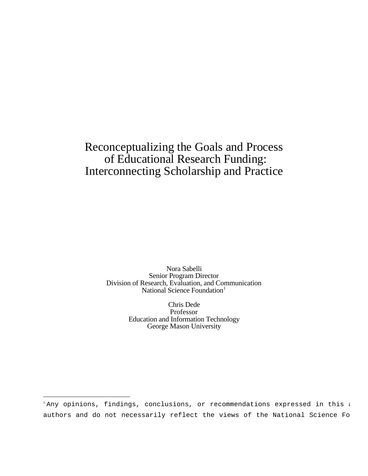# Reconceptualizing the Goals and Process of Educational Research Funding: Interconnecting Scholarship and Practice

Nora Sabelli Senior Program Director Division of Research, Evaluation, and Communication National Science Foundation $1$ 

> Chris Dede Professor Education and Information Technology George Mason University

 $1$ Any opinions, findings, conclusions, or recommendations expressed in this a authors and do not necessarily reflect the views of the National Science Fo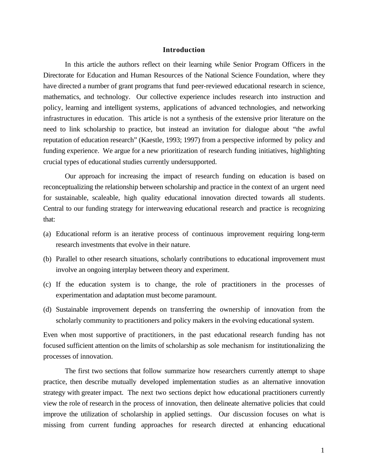#### **Introduction**

In this article the authors reflect on their learning while Senior Program Officers in the Directorate for Education and Human Resources of the National Science Foundation, where they have directed a number of grant programs that fund peer-reviewed educational research in science, mathematics, and technology. Our collective experience includes research into instruction and policy, learning and intelligent systems, applications of advanced technologies, and networking infrastructures in education. This article is not a synthesis of the extensive prior literature on the need to link scholarship to practice, but instead an invitation for dialogue about "the awful reputation of education research" (Kaestle, 1993; 1997) from a perspective informed by policy and funding experience. We argue for a new prioritization of research funding initiatives, highlighting crucial types of educational studies currently undersupported.

Our approach for increasing the impact of research funding on education is based on reconceptualizing the relationship between scholarship and practice in the context of an urgent need for sustainable, scaleable, high quality educational innovation directed towards all students. Central to our funding strategy for interweaving educational research and practice is recognizing that:

- (a) Educational reform is an iterative process of continuous improvement requiring long-term research investments that evolve in their nature.
- (b) Parallel to other research situations, scholarly contributions to educational improvement must involve an ongoing interplay between theory and experiment.
- (c) If the education system is to change, the role of practitioners in the processes of experimentation and adaptation must become paramount.
- (d) Sustainable improvement depends on transferring the ownership of innovation from the scholarly community to practitioners and policy makers in the evolving educational system.

Even when most supportive of practitioners, in the past educational research funding has not focused sufficient attention on the limits of scholarship as sole mechanism for institutionalizing the processes of innovation.

The first two sections that follow summarize how researchers currently attempt to shape practice, then describe mutually developed implementation studies as an alternative innovation strategy with greater impact. The next two sections depict how educational practitioners currently view the role of research in the process of innovation, then delineate alternative policies that could improve the utilization of scholarship in applied settings. Our discussion focuses on what is missing from current funding approaches for research directed at enhancing educational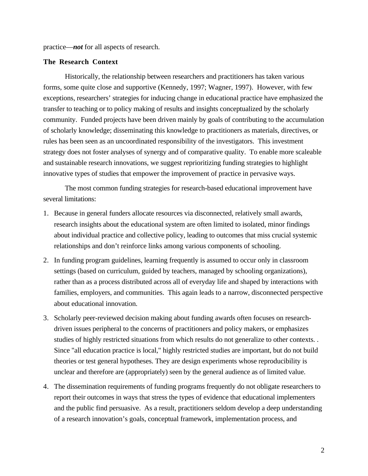practice—*not* for all aspects of research.

# **The Research Context**

Historically, the relationship between researchers and practitioners has taken various forms, some quite close and supportive (Kennedy, 1997; Wagner, 1997). However, with few exceptions, researchers' strategies for inducing change in educational practice have emphasized the transfer to teaching or to policy making of results and insights conceptualized by the scholarly community. Funded projects have been driven mainly by goals of contributing to the accumulation of scholarly knowledge; disseminating this knowledge to practitioners as materials, directives, or rules has been seen as an uncoordinated responsibility of the investigators. This investment strategy does not foster analyses of synergy and of comparative quality. To enable more scaleable and sustainable research innovations, we suggest reprioritizing funding strategies to highlight innovative types of studies that empower the improvement of practice in pervasive ways.

The most common funding strategies for research-based educational improvement have several limitations:

- 1. Because in general funders allocate resources via disconnected, relatively small awards, research insights about the educational system are often limited to isolated, minor findings about individual practice and collective policy, leading to outcomes that miss crucial systemic relationships and don't reinforce links among various components of schooling.
- 2. In funding program guidelines, learning frequently is assumed to occur only in classroom settings (based on curriculum, guided by teachers, managed by schooling organizations), rather than as a process distributed across all of everyday life and shaped by interactions with families, employers, and communities. This again leads to a narrow, disconnected perspective about educational innovation.
- 3. Scholarly peer-reviewed decision making about funding awards often focuses on researchdriven issues peripheral to the concerns of practitioners and policy makers, or emphasizes studies of highly restricted situations from which results do not generalize to other contexts. . Since "all education practice is local," highly restricted studies are important, but do not build theories or test general hypotheses. They are design experiments whose reproducibility is unclear and therefore are (appropriately) seen by the general audience as of limited value.
- 4. The dissemination requirements of funding programs frequently do not obligate researchers to report their outcomes in ways that stress the types of evidence that educational implementers and the public find persuasive. As a result, practitioners seldom develop a deep understanding of a research innovation's goals, conceptual framework, implementation process, and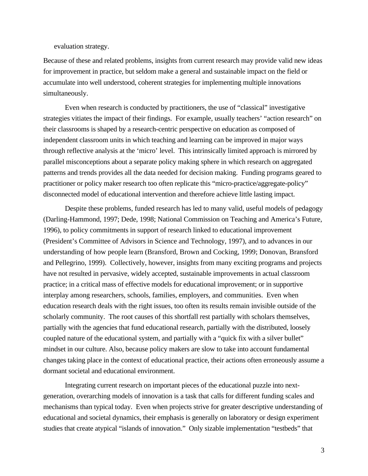evaluation strategy.

Because of these and related problems, insights from current research may provide valid new ideas for improvement in practice, but seldom make a general and sustainable impact on the field or accumulate into well understood, coherent strategies for implementing multiple innovations simultaneously.

Even when research is conducted by practitioners, the use of "classical" investigative strategies vitiates the impact of their findings. For example, usually teachers' "action research" on their classrooms is shaped by a research-centric perspective on education as composed of independent classroom units in which teaching and learning can be improved in major ways through reflective analysis at the 'micro' level. This intrinsically limited approach is mirrored by parallel misconceptions about a separate policy making sphere in which research on aggregated patterns and trends provides all the data needed for decision making. Funding programs geared to practitioner or policy maker research too often replicate this "micro-practice/aggregate-policy" disconnected model of educational intervention and therefore achieve little lasting impact.

Despite these problems, funded research has led to many valid, useful models of pedagogy (Darling-Hammond, 1997; Dede, 1998; National Commission on Teaching and America's Future, 1996), to policy commitments in support of research linked to educational improvement (President's Committee of Advisors in Science and Technology, 1997), and to advances in our understanding of how people learn (Bransford, Brown and Cocking, 1999; Donovan, Bransford and Pellegrino, 1999). Collectively, however, insights from many exciting programs and projects have not resulted in pervasive, widely accepted, sustainable improvements in actual classroom practice; in a critical mass of effective models for educational improvement; or in supportive interplay among researchers, schools, families, employers, and communities. Even when education research deals with the right issues, too often its results remain invisible outside of the scholarly community. The root causes of this shortfall rest partially with scholars themselves, partially with the agencies that fund educational research, partially with the distributed, loosely coupled nature of the educational system, and partially with a "quick fix with a silver bullet" mindset in our culture. Also, because policy makers are slow to take into account fundamental changes taking place in the context of educational practice, their actions often erroneously assume a dormant societal and educational environment.

Integrating current research on important pieces of the educational puzzle into nextgeneration, overarching models of innovation is a task that calls for different funding scales and mechanisms than typical today. Even when projects strive for greater descriptive understanding of educational and societal dynamics, their emphasis is generally on laboratory or design experiment studies that create atypical "islands of innovation." Only sizable implementation "testbeds" that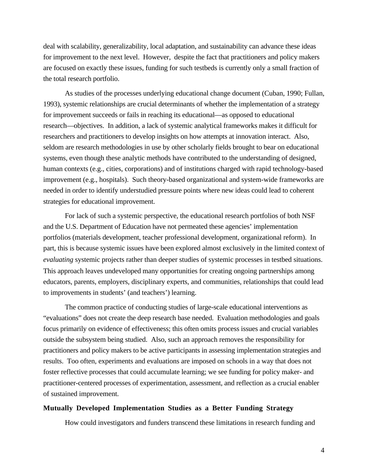deal with scalability, generalizability, local adaptation, and sustainability can advance these ideas for improvement to the next level. However, despite the fact that practitioners and policy makers are focused on exactly these issues, funding for such testbeds is currently only a small fraction of the total research portfolio.

As studies of the processes underlying educational change document (Cuban, 1990; Fullan, 1993), systemic relationships are crucial determinants of whether the implementation of a strategy for improvement succeeds or fails in reaching its educational—as opposed to educational research—objectives. In addition, a lack of systemic analytical frameworks makes it difficult for researchers and practitioners to develop insights on how attempts at innovation interact. Also, seldom are research methodologies in use by other scholarly fields brought to bear on educational systems, even though these analytic methods have contributed to the understanding of designed, human contexts (e.g., cities, corporations) and of institutions charged with rapid technology-based improvement (e.g., hospitals). Such theory-based organizational and system-wide frameworks are needed in order to identify understudied pressure points where new ideas could lead to coherent strategies for educational improvement.

For lack of such a systemic perspective, the educational research portfolios of both NSF and the U.S. Department of Education have not permeated these agencies' implementation portfolios (materials development, teacher professional development, organizational reform). In part, this is because systemic issues have been explored almost exclusively in the limited context of *evaluating* systemic projects rather than deeper studies of systemic processes in testbed situations. This approach leaves undeveloped many opportunities for creating ongoing partnerships among educators, parents, employers, disciplinary experts, and communities, relationships that could lead to improvements in students' (and teachers') learning.

The common practice of conducting studies of large-scale educational interventions as "evaluations" does not create the deep research base needed. Evaluation methodologies and goals focus primarily on evidence of effectiveness; this often omits process issues and crucial variables outside the subsystem being studied. Also, such an approach removes the responsibility for practitioners and policy makers to be active participants in assessing implementation strategies and results. Too often, experiments and evaluations are imposed on schools in a way that does not foster reflective processes that could accumulate learning; we see funding for policy maker- and practitioner-centered processes of experimentation, assessment, and reflection as a crucial enabler of sustained improvement.

### **Mutually Developed Implementation Studies as a Better Funding Strategy**

How could investigators and funders transcend these limitations in research funding and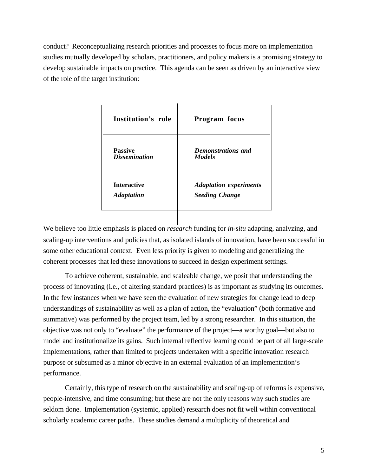conduct? Reconceptualizing research priorities and processes to focus more on implementation studies mutually developed by scholars, practitioners, and policy makers is a promising strategy to develop sustainable impacts on practice. This agenda can be seen as driven by an interactive view of the role of the target institution:

| Institution's role   | Program focus                 |
|----------------------|-------------------------------|
| <b>Passive</b>       | Demonstrations and            |
| <b>Dissemination</b> | <b>Models</b>                 |
| <b>Interactive</b>   | <b>Adaptation experiments</b> |
| <b>Adaptation</b>    | <b>Seeding Change</b>         |

We believe too little emphasis is placed on *research* funding for *in-situ* adapting, analyzing, and scaling-up interventions and policies that, as isolated islands of innovation, have been successful in some other educational context. Even less priority is given to modeling and generalizing the coherent processes that led these innovations to succeed in design experiment settings.

To achieve coherent, sustainable, and scaleable change, we posit that understanding the process of innovating (i.e., of altering standard practices) is as important as studying its outcomes. In the few instances when we have seen the evaluation of new strategies for change lead to deep understandings of sustainability as well as a plan of action, the "evaluation" (both formative and summative) was performed by the project team, led by a strong researcher. In this situation, the objective was not only to "evaluate" the performance of the project—a worthy goal—but also to model and institutionalize its gains. Such internal reflective learning could be part of all large-scale implementations, rather than limited to projects undertaken with a specific innovation research purpose or subsumed as a minor objective in an external evaluation of an implementation's performance.

Certainly, this type of research on the sustainability and scaling-up of reforms is expensive, people-intensive, and time consuming; but these are not the only reasons why such studies are seldom done. Implementation (systemic, applied) research does not fit well within conventional scholarly academic career paths. These studies demand a multiplicity of theoretical and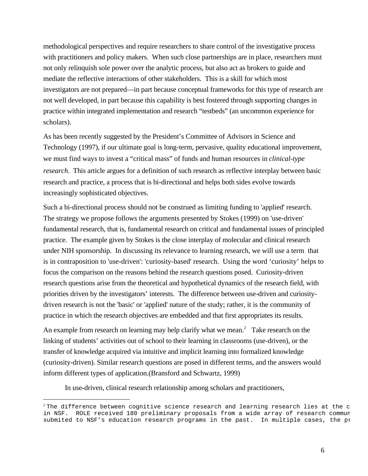methodological perspectives and require researchers to share control of the investigative process with practitioners and policy makers. When such close partnerships are in place, researchers must not only relinquish sole power over the analytic process, but also act as brokers to guide and mediate the reflective interactions of other stakeholders. This is a skill for which most investigators are not prepared—in part because conceptual frameworks for this type of research are not well developed, in part because this capability is best fostered through supporting changes in practice within integrated implementation and research "testbeds" (an uncommon experience for scholars).

As has been recently suggested by the President's Committee of Advisors in Science and Technology (1997), if our ultimate goal is long-term, pervasive, quality educational improvement, we must find ways to invest a "critical mass" of funds and human resources in *clinical-type research*. This article argues for a definition of such research as reflective interplay between basic research and practice, a process that is bi-directional and helps both sides evolve towards increasingly sophisticated objectives.

Such a bi-directional process should not be construed as limiting funding to 'applied' research. The strategy we propose follows the arguments presented by Stokes (1999) on 'use-driven' fundamental research, that is, fundamental research on critical and fundamental issues of principled practice. The example given by Stokes is the close interplay of molecular and clinical research under NIH sponsorship. In discussing its relevance to learning research, we will use a term that is in contraposition to 'use-driven': 'curiosity-based' research. Using the word 'curiosity' helps to focus the comparison on the reasons behind the research questions posed. Curiosity-driven research questions arise from the theoretical and hypothetical dynamics of the research field, with priorities driven by the investigators' interests. The difference between use-driven and curiositydriven research is not the 'basic' or 'applied' nature of the study; rather, it is the community of practice in which the research objectives are embedded and that first appropriates its results.

An example from research on learning may help clarify what we mean.<sup>2</sup> Take research on the linking of students' activities out of school to their learning in classrooms (use-driven), or the transfer of knowledge acquired via intuitive and implicit learning into formalized knowledge (curiosity-driven). Similar research questions are posed in different terms, and the answers would inform different types of application.(Bransford and Schwartz, 1999)

In use-driven, clinical research relationship among scholars and practitioners,

 $^2$ The difference between cognitive science research and learning research lies at the c in NSF. ROLE received 180 preliminary proposals from a wide array of research commun submited to NSF's education research programs in the past. In multiple cases, the pi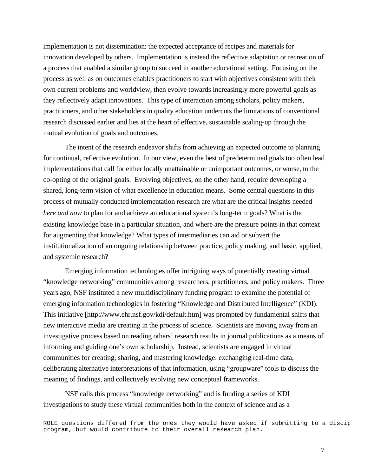implementation is not dissemination: the expected acceptance of recipes and materials for innovation developed by others. Implementation is instead the reflective adaptation or recreation of a process that enabled a similar group to succeed in another educational setting. Focusing on the process as well as on outcomes enables practitioners to start with objectives consistent with their own current problems and worldview, then evolve towards increasingly more powerful goals as they reflectively adapt innovations. This type of interaction among scholars, policy makers, practitioners, and other stakeholders in quality education undercuts the limitations of conventional research discussed earlier and lies at the heart of effective, sustainable scaling-up through the mutual evolution of goals and outcomes.

The intent of the research endeavor shifts from achieving an expected outcome to planning for continual, reflective evolution. In our view, even the best of predetermined goals too often lead implementations that call for either locally unattainable or unimportant outcomes, or worse, to the co-opting of the original goals. Evolving objectives, on the other hand, require developing a shared, long-term vision of what excellence in education means. Some central questions in this process of mutually conducted implementation research are what are the critical insights needed *here and now* to plan for and achieve an educational system's long-term goals? What is the existing knowledge base in a particular situation, and where are the pressure points in that context for augmenting that knowledge? What types of intermediaries can aid or subvert the institutionalization of an ongoing relationship between practice, policy making, and basic, applied, and systemic research?

Emerging information technologies offer intriguing ways of potentially creating virtual "knowledge networking" communities among researchers, practitioners, and policy makers. Three years ago, NSF instituted a new multidisciplinary funding program to examine the potential of emerging information technologies in fostering "Knowledge and Distributed Intelligence" (KDI). This initiative [http://www.ehr.nsf.gov/kdi/default.htm] was prompted by fundamental shifts that new interactive media are creating in the process of science. Scientists are moving away from an investigative process based on reading others' research results in journal publications as a means of informing and guiding one's own scholarship. Instead, scientists are engaged in virtual communities for creating, sharing, and mastering knowledge: exchanging real-time data, deliberating alternative interpretations of that information, using "groupware" tools to discuss the meaning of findings, and collectively evolving new conceptual frameworks.

NSF calls this process "knowledge networking" and is funding a series of KDI investigations to study these virtual communities both in the context of science and as a

ROLE questions differed from the ones they would have asked if submitting to a discip program, but would contribute to their overall research plan.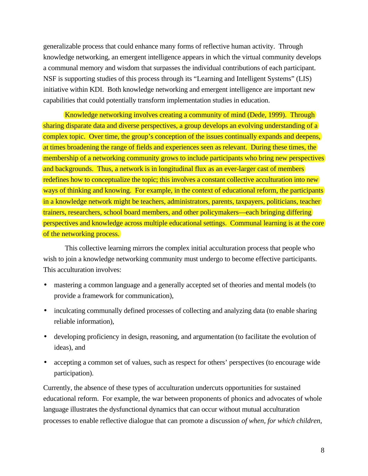generalizable process that could enhance many forms of reflective human activity. Through knowledge networking, an emergent intelligence appears in which the virtual community develops a communal memory and wisdom that surpasses the individual contributions of each participant. NSF is supporting studies of this process through its "Learning and Intelligent Systems" (LIS) initiative within KDI. Both knowledge networking and emergent intelligence are important new capabilities that could potentially transform implementation studies in education.

Knowledge networking involves creating a community of mind (Dede, 1999). Through sharing disparate data and diverse perspectives, a group develops an evolving understanding of a complex topic. Over time, the group's conception of the issues continually expands and deepens, at times broadening the range of fields and experiences seen as relevant. During these times, the membership of a networking community grows to include participants who bring new perspectives and backgrounds. Thus, a network is in longitudinal flux as an ever-larger cast of members redefines how to conceptualize the topic; this involves a constant collective acculturation into new ways of thinking and knowing. For example, in the context of educational reform, the participants in a knowledge network might be teachers, administrators, parents, taxpayers, politicians, teacher trainers, researchers, school board members, and other policymakers—each bringing differing perspectives and knowledge across multiple educational settings. Communal learning is at the core of the networking process.

This collective learning mirrors the complex initial acculturation process that people who wish to join a knowledge networking community must undergo to become effective participants. This acculturation involves:

- mastering a common language and a generally accepted set of theories and mental models (to provide a framework for communication),
- inculcating communally defined processes of collecting and analyzing data (to enable sharing reliable information),
- developing proficiency in design, reasoning, and argumentation (to facilitate the evolution of ideas), and
- accepting a common set of values, such as respect for others' perspectives (to encourage wide participation).

Currently, the absence of these types of acculturation undercuts opportunities for sustained educational reform. For example, the war between proponents of phonics and advocates of whole language illustrates the dysfunctional dynamics that can occur without mutual acculturation processes to enable reflective dialogue that can promote a discussion *of when, for which children,*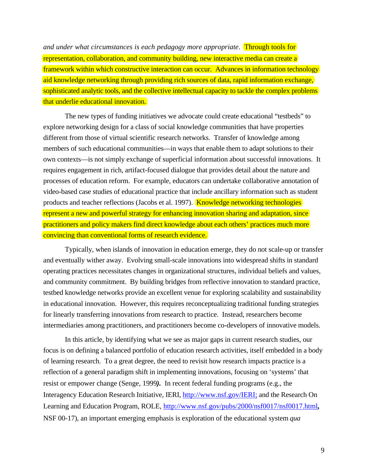*and under what circumstances is each pedagogy more appropriate*. Through tools for representation, collaboration, and community building, new interactive media can create a framework within which constructive interaction can occur. Advances in information technology aid knowledge networking through providing rich sources of data, rapid information exchange. sophisticated analytic tools, and the collective intellectual capacity to tackle the complex problems that underlie educational innovation.

The new types of funding initiatives we advocate could create educational "testbeds" to explore networking design for a class of social knowledge communities that have properties different from those of virtual scientific research networks. Transfer of knowledge among members of such educational communities—in ways that enable them to adapt solutions to their own contexts—is not simply exchange of superficial information about successful innovations. It requires engagement in rich, artifact-focused dialogue that provides detail about the nature and processes of education reform. For example, educators can undertake collaborative annotation of video-based case studies of educational practice that include ancillary information such as student products and teacher reflections (Jacobs et al. 1997). Knowledge networking technologies represent a new and powerful strategy for enhancing innovation sharing and adaptation, since practitioners and policy makers find direct knowledge about each others' practices much more convincing than conventional forms of research evidence.

Typically, when islands of innovation in education emerge, they do not scale-up or transfer and eventually wither away. Evolving small-scale innovations into widespread shifts in standard operating practices necessitates changes in organizational structures, individual beliefs and values, and community commitment. By building bridges from reflective innovation to standard practice, testbed knowledge networks provide an excellent venue for exploring scalability and sustainability in educational innovation. However, this requires reconceptualizing traditional funding strategies for linearly transferring innovations from research to practice. Instead, researchers become intermediaries among practitioners, and practitioners become co-developers of innovative models.

In this article, by identifying what we see as major gaps in current research studies, our focus is on defining a balanced portfolio of education research activities, itself embedded in a body of learning research. To a great degree, the need to revisit how research impacts practice is a reflection of a general paradigm shift in implementing innovations, focusing on 'systems' that resist or empower change (Senge, 1999*).* In recent federal funding programs (e.g., the Interagency Education Research Initiative, IERI, http://www.nsf.gov/IERI; and the Research On Learning and Education Program, ROLE, http://www.nsf.gov/pubs/2000/nsf0017/nsf0017.html, NSF 00-17), an important emerging emphasis is exploration of the educational system *qua*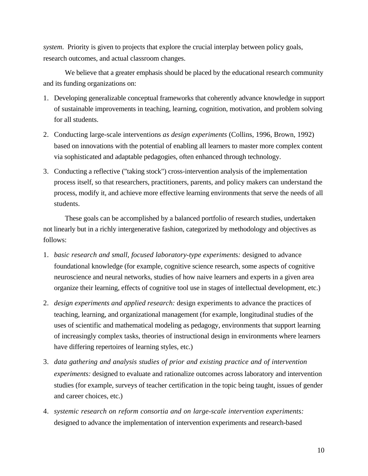*system*. Priority is given to projects that explore the crucial interplay between policy goals, research outcomes, and actual classroom changes.

We believe that a greater emphasis should be placed by the educational research community and its funding organizations on:

- 1. Developing generalizable conceptual frameworks that coherently advance knowledge in support of sustainable improvements in teaching, learning, cognition, motivation, and problem solving for all students.
- 2. Conducting large-scale interventions *as design experiments* (Collins, 1996, Brown, 1992) based on innovations with the potential of enabling all learners to master more complex content via sophisticated and adaptable pedagogies, often enhanced through technology.
- 3. Conducting a reflective ("taking stock") cross-intervention analysis of the implementation process itself, so that researchers, practitioners, parents, and policy makers can understand the process, modify it, and achieve more effective learning environments that serve the needs of all students.

These goals can be accomplished by a balanced portfolio of research studies, undertaken not linearly but in a richly intergenerative fashion, categorized by methodology and objectives as follows:

- 1. *basic research and small, focused laboratory-type experiment*s*:* designed to advance foundational knowledge (for example, cognitive science research, some aspects of cognitive neuroscience and neural networks, studies of how naive learners and experts in a given area organize their learning, effects of cognitive tool use in stages of intellectual development, etc.)
- 2. *design experiments and applied research:* design experiments to advance the practices of teaching, learning, and organizational management (for example, longitudinal studies of the uses of scientific and mathematical modeling as pedagogy, environments that support learning of increasingly complex tasks, theories of instructional design in environments where learners have differing repertoires of learning styles, etc.)
- 3. *data gathering and analysis studies of prior and existing practice and of intervention experiments:* designed to evaluate and rationalize outcomes across laboratory and intervention studies (for example, surveys of teacher certification in the topic being taught, issues of gender and career choices, etc.)
- 4. *systemic research on reform consortia and on large-scale intervention experiments:* designed to advance the implementation of intervention experiments and research-based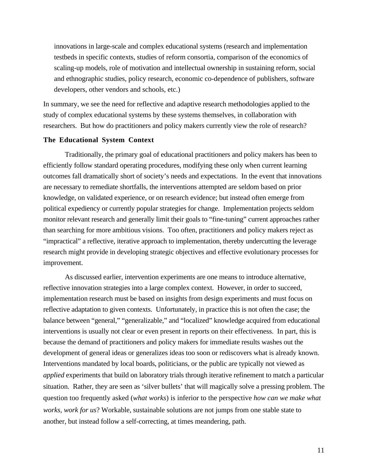innovations in large-scale and complex educational systems (research and implementation testbeds in specific contexts, studies of reform consortia, comparison of the economics of scaling-up models, role of motivation and intellectual ownership in sustaining reform, social and ethnographic studies, policy research, economic co-dependence of publishers, software developers, other vendors and schools, etc.)

In summary, we see the need for reflective and adaptive research methodologies applied to the study of complex educational systems by these systems themselves, in collaboration with researchers. But how do practitioners and policy makers currently view the role of research?

# **The Educational System Context**

Traditionally, the primary goal of educational practitioners and policy makers has been to efficiently follow standard operating procedures, modifying these only when current learning outcomes fall dramatically short of society's needs and expectations. In the event that innovations are necessary to remediate shortfalls, the interventions attempted are seldom based on prior knowledge, on validated experience, or on research evidence; but instead often emerge from political expediency or currently popular strategies for change. Implementation projects seldom monitor relevant research and generally limit their goals to "fine-tuning" current approaches rather than searching for more ambitious visions. Too often, practitioners and policy makers reject as "impractical" a reflective, iterative approach to implementation, thereby undercutting the leverage research might provide in developing strategic objectives and effective evolutionary processes for improvement.

As discussed earlier, intervention experiments are one means to introduce alternative, reflective innovation strategies into a large complex context. However, in order to succeed, implementation research must be based on insights from design experiments and must focus on reflective adaptation to given contexts. Unfortunately, in practice this is not often the case; the balance between "general," "generalizable," and "localized" knowledge acquired from educational interventions is usually not clear or even present in reports on their effectiveness. In part, this is because the demand of practitioners and policy makers for immediate results washes out the development of general ideas or generalizes ideas too soon or rediscovers what is already known. Interventions mandated by local boards, politicians, or the public are typically not viewed as *applied* experiments that build on laboratory trials through iterative refinement to match a particular situation. Rather, they are seen as 'silver bullets' that will magically solve a pressing problem. The question too frequently asked (*what works*) is inferior to the perspective *how can we make what works, work for us*? Workable, sustainable solutions are not jumps from one stable state to another, but instead follow a self-correcting, at times meandering, path.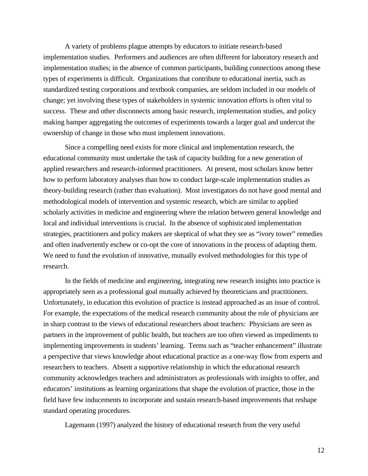A variety of problems plague attempts by educators to initiate research-based implementation studies. Performers and audiences are often different for laboratory research and implementation studies; in the absence of common participants, building connections among these types of experiments is difficult. Organizations that contribute to educational inertia, such as standardized testing corporations and textbook companies, are seldom included in our models of change; yet involving these types of stakeholders in systemic innovation efforts is often vital to success. These and other disconnects among basic research, implementation studies, and policy making hamper aggregating the outcomes of experiments towards a larger goal and undercut the ownership of change in those who must implement innovations.

Since a compelling need exists for more clinical and implementation research, the educational community must undertake the task of capacity building for a new generation of applied researchers and research-informed practitioners. At present, most scholars know better how to perform laboratory analyses than how to conduct large-scale implementation studies as theory-building research (rather than evaluation). Most investigators do not have good mental and methodological models of intervention and systemic research, which are similar to applied scholarly activities in medicine and engineering where the relation between general knowledge and local and individual interventions is crucial. In the absence of sophisticated implementation strategies, practitioners and policy makers are skeptical of what they see as "ivory tower" remedies and often inadvertently eschew or co-opt the core of innovations in the process of adapting them. We need to fund the evolution of innovative, mutually evolved methodologies for this type of research.

In the fields of medicine and engineering, integrating new research insights into practice is appropriately seen as a professional goal mutually achieved by theoreticians and practitioners. Unfortunately, in education this evolution of practice is instead approached as an issue of control. For example, the expectations of the medical research community about the role of physicians are in sharp contrast to the views of educational researchers about teachers: Physicians are seen as partners in the improvement of public health, but teachers are too often viewed as impediments to implementing improvements in students' learning. Terms such as "teacher enhancement" illustrate a perspective that views knowledge about educational practice as a one-way flow from experts and researchers to teachers. Absent a supportive relationship in which the educational research community acknowledges teachers and administrators as professionals with insights to offer, and educators' institutions as learning organizations that shape the evolution of practice, those in the field have few inducements to incorporate and sustain research-based improvements that reshape standard operating procedures.

Lagemann (1997) analyzed the history of educational research from the very useful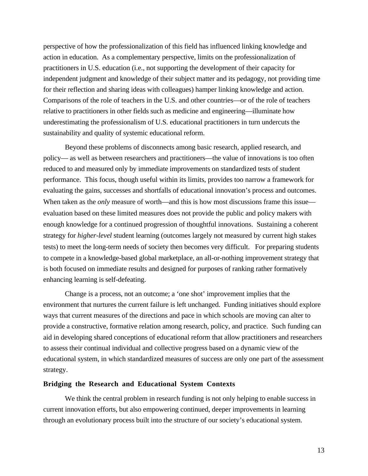perspective of how the professionalization of this field has influenced linking knowledge and action in education. As a complementary perspective, limits on the professionalization of practitioners in U.S. education (i.e., not supporting the development of their capacity for independent judgment and knowledge of their subject matter and its pedagogy, not providing time for their reflection and sharing ideas with colleagues) hamper linking knowledge and action. Comparisons of the role of teachers in the U.S. and other countries—or of the role of teachers relative to practitioners in other fields such as medicine and engineering—illuminate how underestimating the professionalism of U.S. educational practitioners in turn undercuts the sustainability and quality of systemic educational reform.

Beyond these problems of disconnects among basic research, applied research, and policy— as well as between researchers and practitioners—the value of innovations is too often reduced to and measured only by immediate improvements on standardized tests of student performance. This focus, though useful within its limits, provides too narrow a framework for evaluating the gains, successes and shortfalls of educational innovation's process and outcomes. When taken as the *only* measure of worth—and this is how most discussions frame this issue evaluation based on these limited measures does not provide the public and policy makers with enough knowledge for a continued progression of thoughtful innovations. Sustaining a coherent strategy for *higher-level* student learning (outcomes largely not measured by current high stakes tests) to meet the long-term needs of society then becomes very difficult. For preparing students to compete in a knowledge-based global marketplace, an all-or-nothing improvement strategy that is both focused on immediate results and designed for purposes of ranking rather formatively enhancing learning is self-defeating.

Change is a process, not an outcome; a 'one shot' improvement implies that the environment that nurtures the current failure is left unchanged. Funding initiatives should explore ways that current measures of the directions and pace in which schools are moving can alter to provide a constructive, formative relation among research, policy, and practice. Such funding can aid in developing shared conceptions of educational reform that allow practitioners and researchers to assess their continual individual and collective progress based on a dynamic view of the educational system, in which standardized measures of success are only one part of the assessment strategy.

# **Bridging the Research and Educational System Contexts**

We think the central problem in research funding is not only helping to enable success in current innovation efforts, but also empowering continued, deeper improvements in learning through an evolutionary process built into the structure of our society's educational system.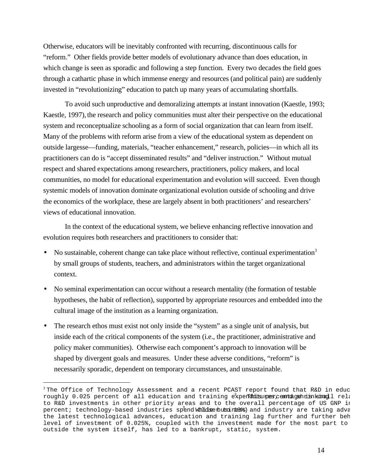Otherwise, educators will be inevitably confronted with recurring, discontinuous calls for "reform." Other fields provide better models of evolutionary advance than does education, in which change is seen as sporadic and following a step function. Every two decades the field goes through a cathartic phase in which immense energy and resources (and political pain) are suddenly invested in "revolutionizing" education to patch up many years of accumulating shortfalls.

To avoid such unproductive and demoralizing attempts at instant innovation (Kaestle, 1993; Kaestle, 1997), the research and policy communities must alter their perspective on the educational system and reconceptualize schooling as a form of social organization that can learn from itself. Many of the problems with reform arise from a view of the educational system as dependent on outside largesse—funding, materials, "teacher enhancement," research, policies—in which all its practitioners can do is "accept disseminated results" and "deliver instruction." Without mutual respect and shared expectations among researchers, practitioners, policy makers, and local communities, no model for educational experimentation and evolution will succeed. Even though systemic models of innovation dominate organizational evolution outside of schooling and drive the economics of the workplace, these are largely absent in both practitioners' and researchers' views of educational innovation.

In the context of the educational system, we believe enhancing reflective innovation and evolution requires both researchers and practitioners to consider that:

- No sustainable, coherent change can take place without reflective, continual experimentation<sup>3</sup> by small groups of students, teachers, and administrators within the target organizational context.
- No seminal experimentation can occur without a research mentality (the formation of testable hypotheses, the habit of reflection), supported by appropriate resources and embedded into the cultural image of the institution as a learning organization.
- The research ethos must exist not only inside the "system" as a single unit of analysis, but inside each of the critical components of the system (i.e., the practitioner, administrative and policy maker communities). Otherwise each component's approach to innovation will be shaped by divergent goals and measures. Under these adverse conditions, "reform" is necessarily sporadic, dependent on temporary circumstances, and unsustainable.

 $3$  The Office of Technology Assessment and a recent PCAST report found that R&D in educ roughly 0.025 percent of all education and training expenditures centagenish sinagll rela to R&D investments in other priority areas and to the overall percentage of US GNP in percent; technology-based industries spend Wchidserbutsiness and industry are taking adva the latest technological advances, education and training lag further and further beh level of investment of 0.025%, coupled with the investment made for the most part to outside the system itself, has led to a bankrupt, static, system.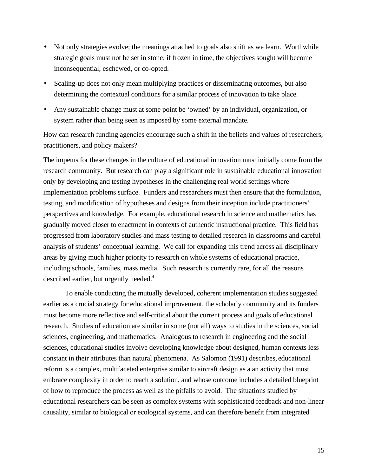- Not only strategies evolve; the meanings attached to goals also shift as we learn. Worthwhile strategic goals must not be set in stone; if frozen in time, the objectives sought will become inconsequential, eschewed, or co-opted.
- Scaling-up does not only mean multiplying practices or disseminating outcomes, but also determining the contextual conditions for a similar process of innovation to take place.
- Any sustainable change must at some point be 'owned' by an individual, organization, or system rather than being seen as imposed by some external mandate.

How can research funding agencies encourage such a shift in the beliefs and values of researchers, practitioners, and policy makers?

The impetus for these changes in the culture of educational innovation must initially come from the research community. But research can play a significant role in sustainable educational innovation only by developing and testing hypotheses in the challenging real world settings where implementation problems surface. Funders and researchers must then ensure that the formulation, testing, and modification of hypotheses and designs from their inception include practitioners' perspectives and knowledge. For example, educational research in science and mathematics has gradually moved closer to enactment in contexts of authentic instructional practice. This field has progressed from laboratory studies and mass testing to detailed research in classrooms and careful analysis of students' conceptual learning. We call for expanding this trend across all disciplinary areas by giving much higher priority to research on whole systems of educational practice, including schools, families, mass media. Such research is currently rare, for all the reasons described earlier, but urgently needed.<sup>4</sup>

To enable conducting the mutually developed, coherent implementation studies suggested earlier as a crucial strategy for educational improvement, the scholarly community and its funders must become more reflective and self-critical about the current process and goals of educational research. Studies of education are similar in some (not all) ways to studies in the sciences, social sciences, engineering, and mathematics. Analogous to research in engineering and the social sciences, educational studies involve developing knowledge about designed, human contexts less constant in their attributes than natural phenomena. As Salomon (1991) describes, educational reform is a complex, multifaceted enterprise similar to aircraft design as a an activity that must embrace complexity in order to reach a solution, and whose outcome includes a detailed blueprint of how to reproduce the process as well as the pitfalls to avoid. The situations studied by educational researchers can be seen as complex systems with sophisticated feedback and non-linear causality, similar to biological or ecological systems, and can therefore benefit from integrated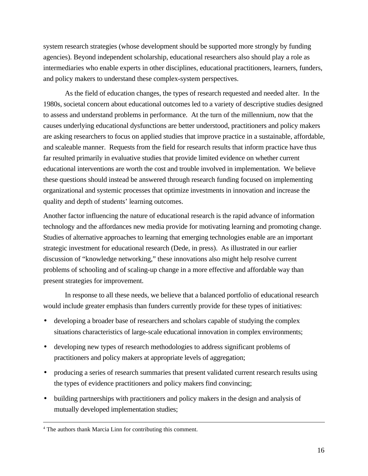system research strategies (whose development should be supported more strongly by funding agencies). Beyond independent scholarship, educational researchers also should play a role as intermediaries who enable experts in other disciplines, educational practitioners, learners, funders, and policy makers to understand these complex-system perspectives.

As the field of education changes, the types of research requested and needed alter. In the 1980s, societal concern about educational outcomes led to a variety of descriptive studies designed to assess and understand problems in performance. At the turn of the millennium, now that the causes underlying educational dysfunctions are better understood, practitioners and policy makers are asking researchers to focus on applied studies that improve practice in a sustainable, affordable, and scaleable manner. Requests from the field for research results that inform practice have thus far resulted primarily in evaluative studies that provide limited evidence on whether current educational interventions are worth the cost and trouble involved in implementation. We believe these questions should instead be answered through research funding focused on implementing organizational and systemic processes that optimize investments in innovation and increase the quality and depth of students' learning outcomes.

Another factor influencing the nature of educational research is the rapid advance of information technology and the affordances new media provide for motivating learning and promoting change. Studies of alternative approaches to learning that emerging technologies enable are an important strategic investment for educational research (Dede, in press). As illustrated in our earlier discussion of "knowledge networking," these innovations also might help resolve current problems of schooling and of scaling-up change in a more effective and affordable way than present strategies for improvement.

In response to all these needs, we believe that a balanced portfolio of educational research would include greater emphasis than funders currently provide for these types of initiatives:

- developing a broader base of researchers and scholars capable of studying the complex situations characteristics of large-scale educational innovation in complex environments;
- developing new types of research methodologies to address significant problems of practitioners and policy makers at appropriate levels of aggregation;
- producing a series of research summaries that present validated current research results using the types of evidence practitioners and policy makers find convincing;
- building partnerships with practitioners and policy makers in the design and analysis of mutually developed implementation studies;

 $\frac{1}{4}$ <sup>4</sup> The authors thank Marcia Linn for contributing this comment.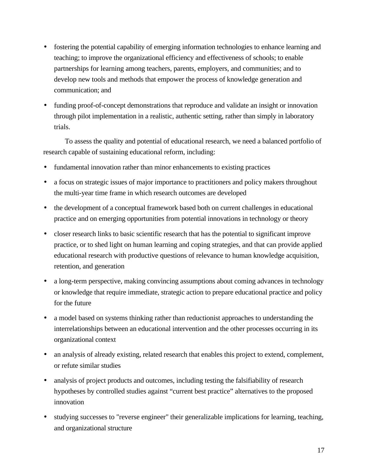- fostering the potential capability of emerging information technologies to enhance learning and teaching; to improve the organizational efficiency and effectiveness of schools; to enable partnerships for learning among teachers, parents, employers, and communities; and to develop new tools and methods that empower the process of knowledge generation and communication; and
- funding proof-of-concept demonstrations that reproduce and validate an insight or innovation through pilot implementation in a realistic, authentic setting, rather than simply in laboratory trials.

To assess the quality and potential of educational research, we need a balanced portfolio of research capable of sustaining educational reform, including:

- fundamental innovation rather than minor enhancements to existing practices
- a focus on strategic issues of major importance to practitioners and policy makers throughout the multi-year time frame in which research outcomes are developed
- the development of a conceptual framework based both on current challenges in educational practice and on emerging opportunities from potential innovations in technology or theory
- closer research links to basic scientific research that has the potential to significant improve practice, or to shed light on human learning and coping strategies, and that can provide applied educational research with productive questions of relevance to human knowledge acquisition, retention, and generation
- a long-term perspective, making convincing assumptions about coming advances in technology or knowledge that require immediate, strategic action to prepare educational practice and policy for the future
- a model based on systems thinking rather than reductionist approaches to understanding the interrelationships between an educational intervention and the other processes occurring in its organizational context
- an analysis of already existing, related research that enables this project to extend, complement, or refute similar studies
- analysis of project products and outcomes, including testing the falsifiability of research hypotheses by controlled studies against "current best practice" alternatives to the proposed innovation
- studying successes to "reverse engineer" their generalizable implications for learning, teaching, and organizational structure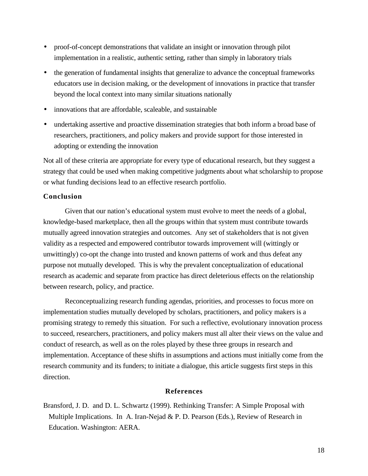- proof-of-concept demonstrations that validate an insight or innovation through pilot implementation in a realistic, authentic setting, rather than simply in laboratory trials
- the generation of fundamental insights that generalize to advance the conceptual frameworks educators use in decision making, or the development of innovations in practice that transfer beyond the local context into many similar situations nationally
- innovations that are affordable, scaleable, and sustainable
- undertaking assertive and proactive dissemination strategies that both inform a broad base of researchers, practitioners, and policy makers and provide support for those interested in adopting or extending the innovation

Not all of these criteria are appropriate for every type of educational research, but they suggest a strategy that could be used when making competitive judgments about what scholarship to propose or what funding decisions lead to an effective research portfolio.

# **Conclusion**

Given that our nation's educational system must evolve to meet the needs of a global, knowledge-based marketplace, then all the groups within that system must contribute towards mutually agreed innovation strategies and outcomes. Any set of stakeholders that is not given validity as a respected and empowered contributor towards improvement will (wittingly or unwittingly) co-opt the change into trusted and known patterns of work and thus defeat any purpose not mutually developed. This is why the prevalent conceptualization of educational research as academic and separate from practice has direct deleterious effects on the relationship between research, policy, and practice.

Reconceptualizing research funding agendas, priorities, and processes to focus more on implementation studies mutually developed by scholars, practitioners, and policy makers is a promising strategy to remedy this situation. For such a reflective, evolutionary innovation process to succeed, researchers, practitioners, and policy makers must all alter their views on the value and conduct of research, as well as on the roles played by these three groups in research and implementation. Acceptance of these shifts in assumptions and actions must initially come from the research community and its funders; to initiate a dialogue, this article suggests first steps in this direction.

# **References**

Bransford, J. D. and D. L. Schwartz (1999). Rethinking Transfer: A Simple Proposal with Multiple Implications. In A. Iran-Nejad & P. D. Pearson (Eds.), Review of Research in Education. Washington: AERA.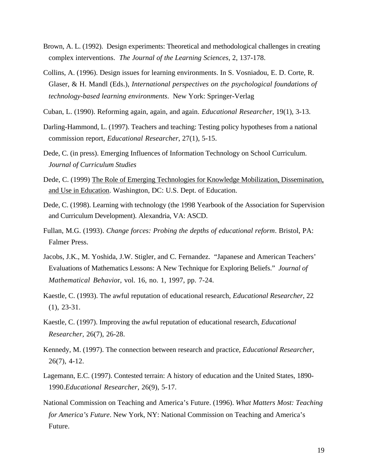- Brown, A. L. (1992). Design experiments: Theoretical and methodological challenges in creating complex interventions. *The Journal of the Learning Sciences*, 2, 137-178.
- Collins, A. (1996). Design issues for learning environments. In S. Vosniadou, E. D. Corte, R. Glaser, & H. Mandl (Eds.), *International perspectives on the psychological foundations of technology-based learning environments*. New York: Springer-Verlag
- Cuban, L. (1990). Reforming again, again, and again. *Educational Researcher,* 19(1), 3-13.
- Darling-Hammond, L. (1997). Teachers and teaching: Testing policy hypotheses from a national commission report, *Educational Researcher*, 27(1), 5-15.
- Dede, C. (in press). Emerging Influences of Information Technology on School Curriculum. *Journal of Curriculum Studies*
- Dede, C. (1999) The Role of Emerging Technologies for Knowledge Mobilization, Dissemination, and Use in Education. Washington, DC: U.S. Dept. of Education.
- Dede, C. (1998). Learning with technology (the 1998 Yearbook of the Association for Supervision and Curriculum Development). Alexandria, VA: ASCD.
- Fullan, M.G. (1993). *Change forces: Probing the depths of educational reform*. Bristol, PA: Falmer Press.
- Jacobs, J.K., M. Yoshida, J.W. Stigler, and C. Fernandez. "Japanese and American Teachers' Evaluations of Mathematics Lessons: A New Technique for Exploring Beliefs." *Journal of Mathematical Behavio*r, vol. 16, no. 1, 1997, pp. 7-24.
- Kaestle, C. (1993). The awful reputation of educational research, *Educational Researcher*, 22 (1), 23-31.
- Kaestle, C. (1997). Improving the awful reputation of educational research, *Educational Researcher,* 26(7), 26-28.
- Kennedy, M. (1997). The connection between research and practice, *Educational Researcher*, 26(7), 4-12.
- Lagemann, E.C. (1997). Contested terrain: A history of education and the United States, 1890- 1990.*Educational Researcher*, 26(9), 5-17.
- National Commission on Teaching and America's Future. (1996). *What Matters Most: Teaching for America's Future*. New York, NY: National Commission on Teaching and America's Future.